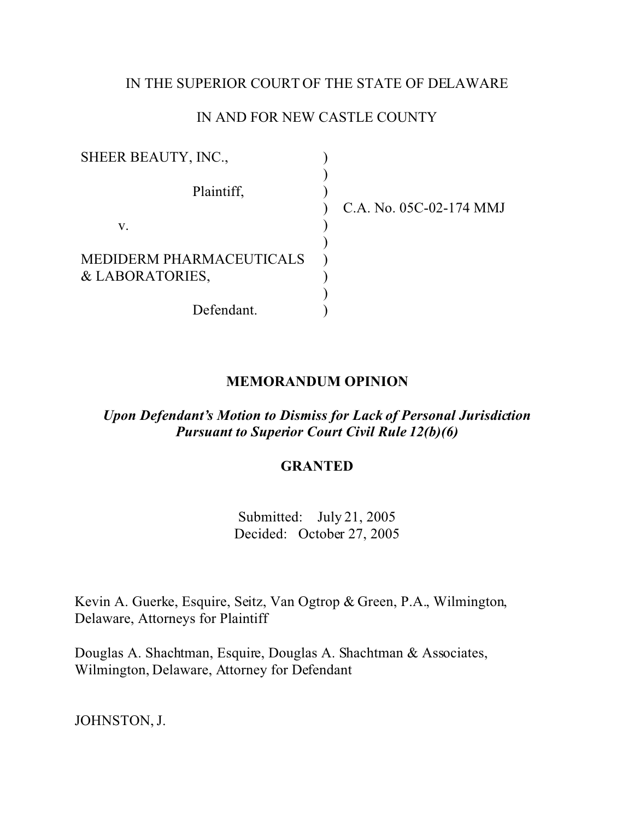# IN THE SUPERIOR COURT OF THE STATE OF DELAWARE

## IN AND FOR NEW CASTLE COUNTY

| SHEER BEAUTY, INC.,      |                         |
|--------------------------|-------------------------|
| Plaintiff,               | C.A. No. 05C-02-174 MMJ |
| V.                       |                         |
|                          |                         |
| MEDIDERM PHARMACEUTICALS |                         |
| & LABORATORIES,          |                         |
|                          |                         |
| Defendant.               |                         |

## **MEMORANDUM OPINION**

*Upon Defendant's Motion to Dismiss for Lack of Personal Jurisdiction Pursuant to Superior Court Civil Rule 12(b)(6)*

## **GRANTED**

Submitted: July 21, 2005 Decided: October 27, 2005

Kevin A. Guerke, Esquire, Seitz, Van Ogtrop & Green, P.A., Wilmington, Delaware, Attorneys for Plaintiff

Douglas A. Shachtman, Esquire, Douglas A. Shachtman & Associates, Wilmington, Delaware, Attorney for Defendant

JOHNSTON, J.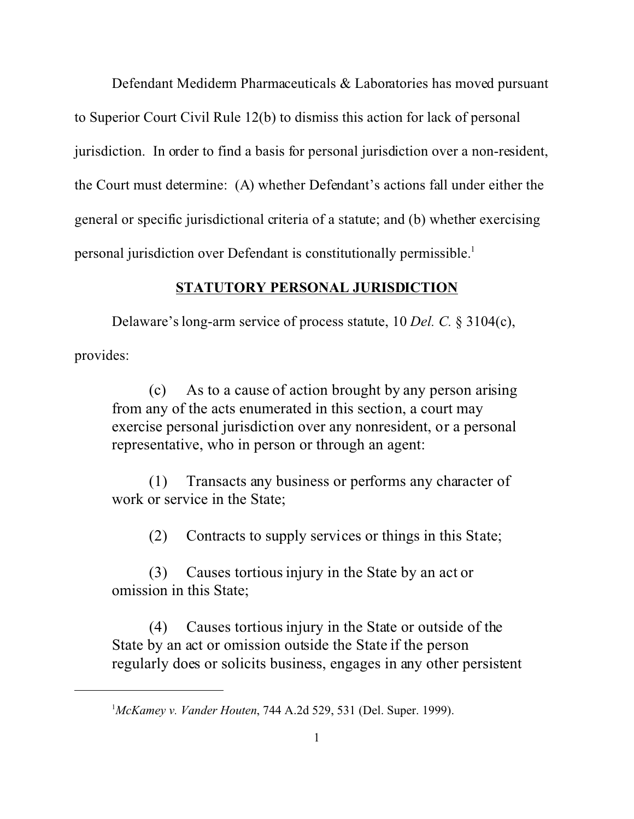Defendant Mediderm Pharmaceuticals & Laboratories has moved pursuant to Superior Court Civil Rule 12(b) to dismiss this action for lack of personal jurisdiction. In order to find a basis for personal jurisdiction over a non-resident, the Court must determine: (A) whether Defendant's actions fall under either the general or specific jurisdictional criteria of a statute; and (b) whether exercising personal jurisdiction over Defendant is constitutionally permissible.<sup>1</sup>

## **STATUTORY PERSONAL JURISDICTION**

Delaware's long-arm service of process statute, 10 *Del. C.* § 3104(c), provides:

(c) As to a cause of action brought by any person arising from any of the acts enumerated in this section, a court may exercise personal jurisdiction over any nonresident, or a personal representative, who in person or through an agent:

(1) Transacts any business or performs any character of work or service in the State;

(2) Contracts to supply services or things in this State;

(3) Causes tortious injury in the State by an act or omission in this State;

(4) Causes tortious injury in the State or outside of the State by an act or omission outside the State if the person regularly does or solicits business, engages in any other persistent

<sup>1</sup>*McKamey v. Vander Houten*, 744 A.2d 529, 531 (Del. Super. 1999).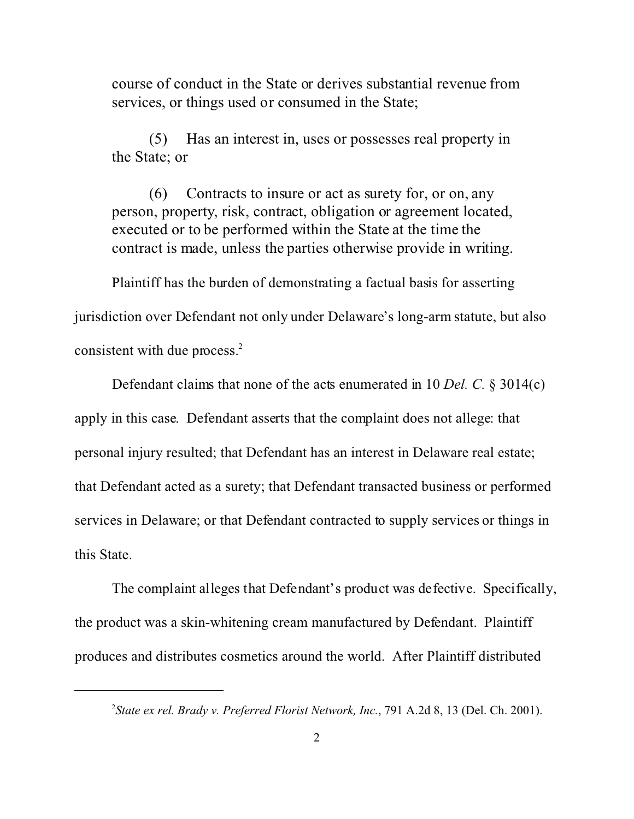course of conduct in the State or derives substantial revenue from services, or things used or consumed in the State;

(5) Has an interest in, uses or possesses real property in the State; or

(6) Contracts to insure or act as surety for, or on, any person, property, risk, contract, obligation or agreement located, executed or to be performed within the State at the time the contract is made, unless the parties otherwise provide in writing.

Plaintiff has the burden of demonstrating a factual basis for asserting

jurisdiction over Defendant not only under Delaware's long-arm statute, but also consistent with due process.<sup>2</sup>

Defendant claims that none of the acts enumerated in 10 *Del. C.* § 3014(c) apply in this case. Defendant asserts that the complaint does not allege: that personal injury resulted; that Defendant has an interest in Delaware real estate; that Defendant acted as a surety; that Defendant transacted business or performed services in Delaware; or that Defendant contracted to supply services or things in this State.

The complaint alleges that Defendant's product was defective. Specifically, the product was a skin-whitening cream manufactured by Defendant. Plaintiff produces and distributes cosmetics around the world. After Plaintiff distributed

<sup>2</sup> *State ex rel. Brady v. Preferred Florist Network, Inc.*, 791 A.2d 8, 13 (Del. Ch. 2001).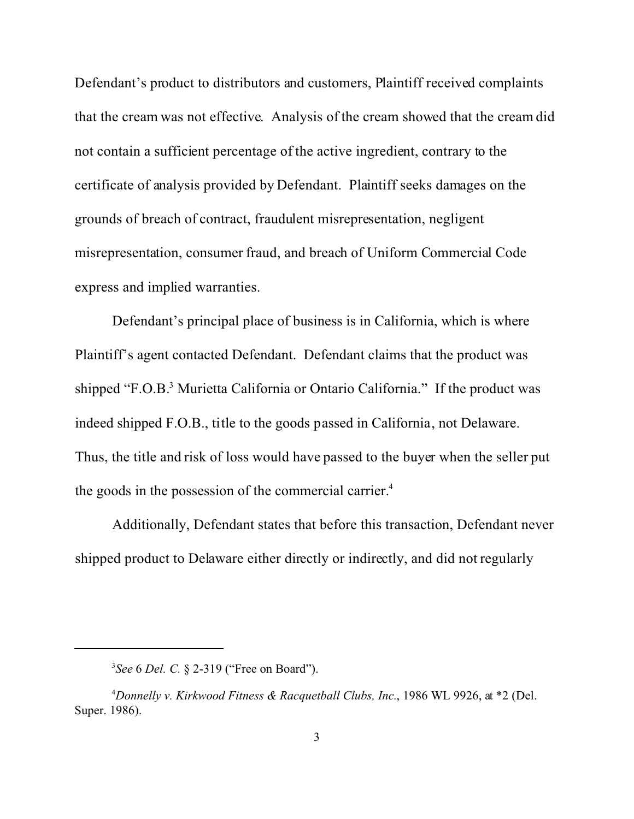Defendant's product to distributors and customers, Plaintiff received complaints that the cream was not effective. Analysis of the cream showed that the cream did not contain a sufficient percentage of the active ingredient, contrary to the certificate of analysis provided by Defendant. Plaintiff seeks damages on the grounds of breach of contract, fraudulent misrepresentation, negligent misrepresentation, consumer fraud, and breach of Uniform Commercial Code express and implied warranties.

Defendant's principal place of business is in California, which is where Plaintiff's agent contacted Defendant. Defendant claims that the product was shipped "F.O.B.<sup>3</sup> Murietta California or Ontario California." If the product was indeed shipped F.O.B., title to the goods passed in California, not Delaware. Thus, the title and risk of loss would have passed to the buyer when the seller put the goods in the possession of the commercial carrier.<sup>4</sup>

Additionally, Defendant states that before this transaction, Defendant never shipped product to Delaware either directly or indirectly, and did not regularly

<sup>3</sup> *See* 6 *Del. C.* § 2-319 ("Free on Board").

<sup>4</sup>*Donnelly v. Kirkwood Fitness & Racquetball Clubs, Inc.*, 1986 WL 9926, at \*2 (Del. Super. 1986).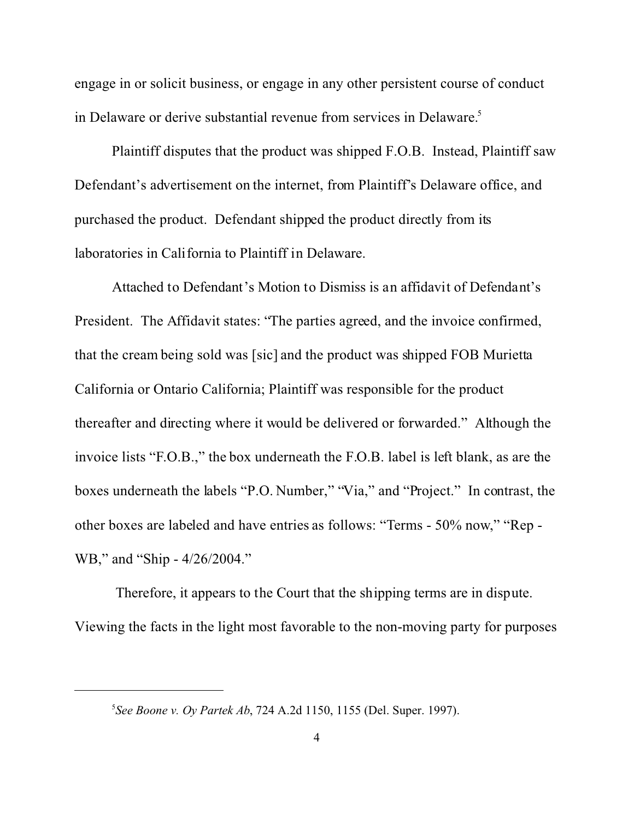engage in or solicit business, or engage in any other persistent course of conduct in Delaware or derive substantial revenue from services in Delaware.<sup>5</sup>

Plaintiff disputes that the product was shipped F.O.B. Instead, Plaintiff saw Defendant's advertisement on the internet, from Plaintiff's Delaware office, and purchased the product. Defendant shipped the product directly from its laboratories in California to Plaintiff in Delaware.

Attached to Defendant's Motion to Dismiss is an affidavit of Defendant's President. The Affidavit states: "The parties agreed, and the invoice confirmed, that the cream being sold was [sic] and the product was shipped FOB Murietta California or Ontario California; Plaintiff was responsible for the product thereafter and directing where it would be delivered or forwarded." Although the invoice lists "F.O.B.," the box underneath the F.O.B. label is left blank, as are the boxes underneath the labels "P.O. Number," "Via," and "Project." In contrast, the other boxes are labeled and have entries as follows: "Terms - 50% now," "Rep - WB," and "Ship - 4/26/2004."

 Therefore, it appears to the Court that the shipping terms are in dispute. Viewing the facts in the light most favorable to the non-moving party for purposes

<sup>5</sup> *See Boone v. Oy Partek Ab*, 724 A.2d 1150, 1155 (Del. Super. 1997).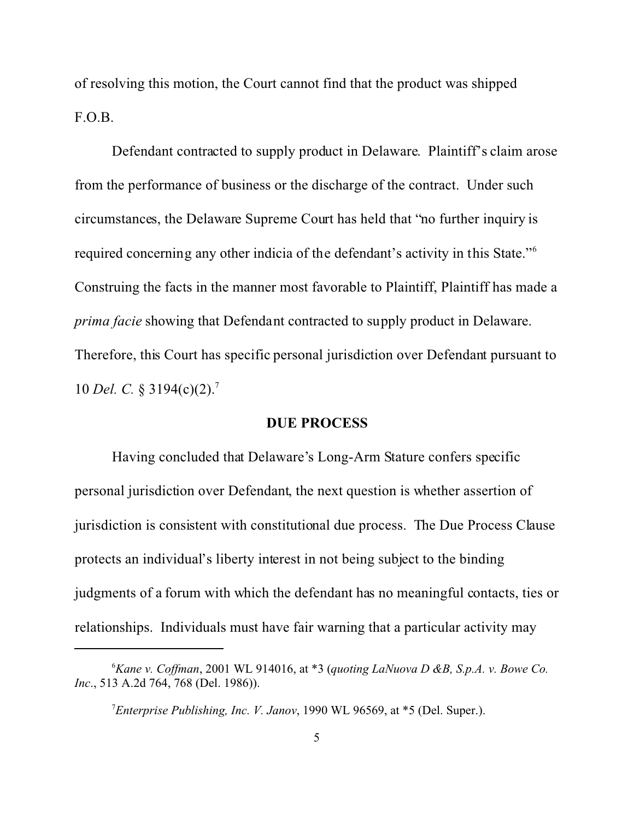of resolving this motion, the Court cannot find that the product was shipped F.O.B.

Defendant contracted to supply product in Delaware. Plaintiff's claim arose from the performance of business or the discharge of the contract. Under such circumstances, the Delaware Supreme Court has held that "no further inquiry is required concerning any other indicia of the defendant's activity in this State."<sup>6</sup> Construing the facts in the manner most favorable to Plaintiff, Plaintiff has made a *prima facie* showing that Defendant contracted to supply product in Delaware. Therefore, this Court has specific personal jurisdiction over Defendant pursuant to 10 *Del. C.* § 3194(c)(2).<sup>7</sup>

#### **DUE PROCESS**

Having concluded that Delaware's Long-Arm Stature confers specific personal jurisdiction over Defendant, the next question is whether assertion of jurisdiction is consistent with constitutional due process. The Due Process Clause protects an individual's liberty interest in not being subject to the binding judgments of a forum with which the defendant has no meaningful contacts, ties or relationships. Individuals must have fair warning that a particular activity may

<sup>6</sup>*Kane v. Coffman*, 2001 WL 914016, at \*3 (*quoting LaNuova D &B, S.p.A. v. Bowe Co. Inc*., 513 A.2d 764, 768 (Del. 1986)).

<sup>7</sup>*Enterprise Publishing, Inc. V. Janov*, 1990 WL 96569, at \*5 (Del. Super.).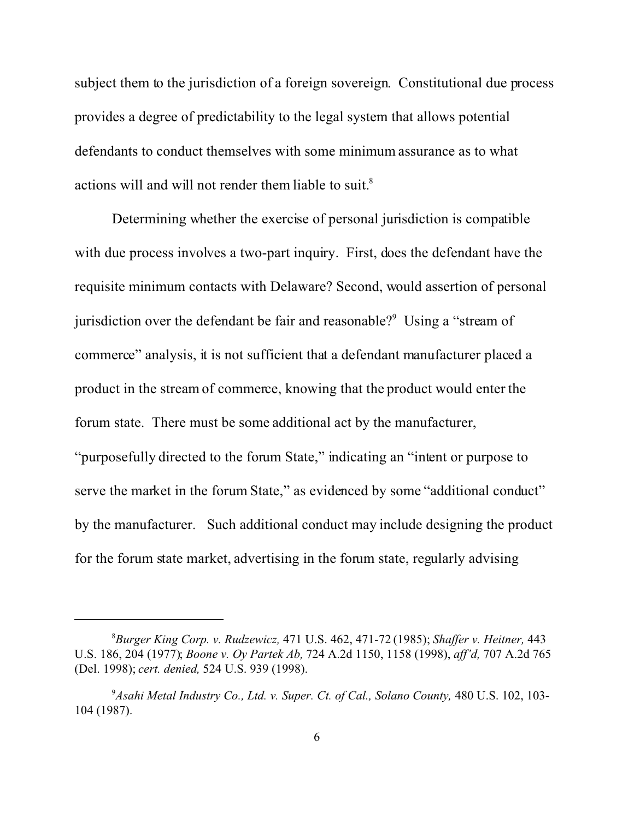subject them to the jurisdiction of a foreign sovereign. Constitutional due process provides a degree of predictability to the legal system that allows potential defendants to conduct themselves with some minimum assurance as to what actions will and will not render them liable to suit.<sup>8</sup>

Determining whether the exercise of personal jurisdiction is compatible with due process involves a two-part inquiry. First, does the defendant have the requisite minimum contacts with Delaware? Second, would assertion of personal jurisdiction over the defendant be fair and reasonable?<sup>9</sup> Using a "stream of commerce" analysis, it is not sufficient that a defendant manufacturer placed a product in the stream of commerce, knowing that the product would enter the forum state. There must be some additional act by the manufacturer, "purposefully directed to the forum State," indicating an "intent or purpose to serve the market in the forum State," as evidenced by some "additional conduct" by the manufacturer. Such additional conduct may include designing the product for the forum state market, advertising in the forum state, regularly advising

<sup>8</sup>*Burger King Corp. v. Rudzewicz,* 471 U.S. 462, 471-72 (1985); *Shaffer v. Heitner,* 443 U.S. 186, 204 (1977); *Boone v. Oy Partek Ab,* 724 A.2d 1150, 1158 (1998), *aff'd,* 707 A.2d 765 (Del. 1998); *cert. denied,* 524 U.S. 939 (1998).

<sup>&</sup>lt;sup>9</sup> Asahi Metal Industry Co., Ltd. v. Super. Ct. of Cal., Solano County, 480 U.S. 102, 103-104 (1987).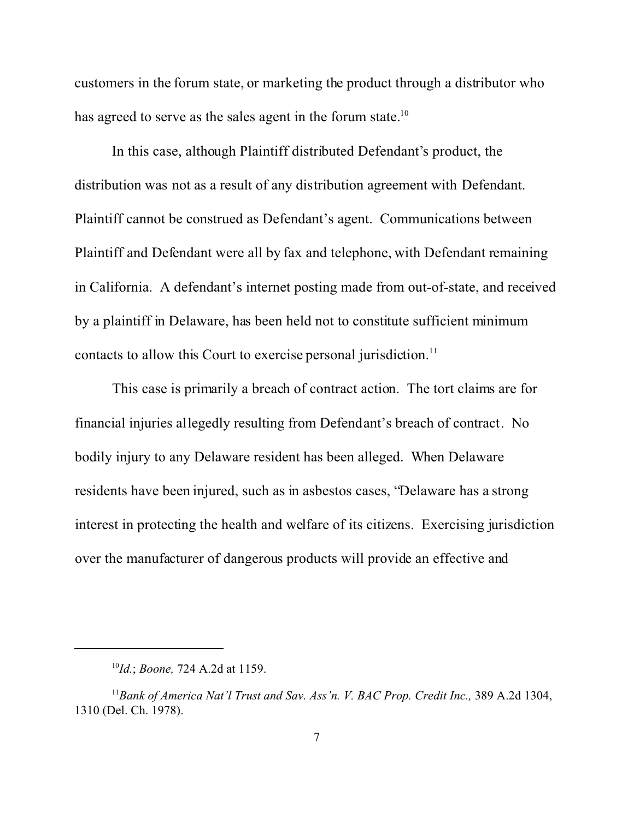customers in the forum state, or marketing the product through a distributor who has agreed to serve as the sales agent in the forum state.<sup>10</sup>

In this case, although Plaintiff distributed Defendant's product, the distribution was not as a result of any distribution agreement with Defendant. Plaintiff cannot be construed as Defendant's agent. Communications between Plaintiff and Defendant were all by fax and telephone, with Defendant remaining in California. A defendant's internet posting made from out-of-state, and received by a plaintiff in Delaware, has been held not to constitute sufficient minimum contacts to allow this Court to exercise personal jurisdiction.<sup>11</sup>

This case is primarily a breach of contract action. The tort claims are for financial injuries allegedly resulting from Defendant's breach of contract. No bodily injury to any Delaware resident has been alleged. When Delaware residents have been injured, such as in asbestos cases, "Delaware has a strong interest in protecting the health and welfare of its citizens. Exercising jurisdiction over the manufacturer of dangerous products will provide an effective and

<sup>10</sup>*Id.*; *Boone,* 724 A.2d at 1159.

<sup>&</sup>lt;sup>11</sup> Bank of America Nat'l Trust and Sav. Ass'n. V. BAC Prop. Credit Inc., 389 A.2d 1304, 1310 (Del. Ch. 1978).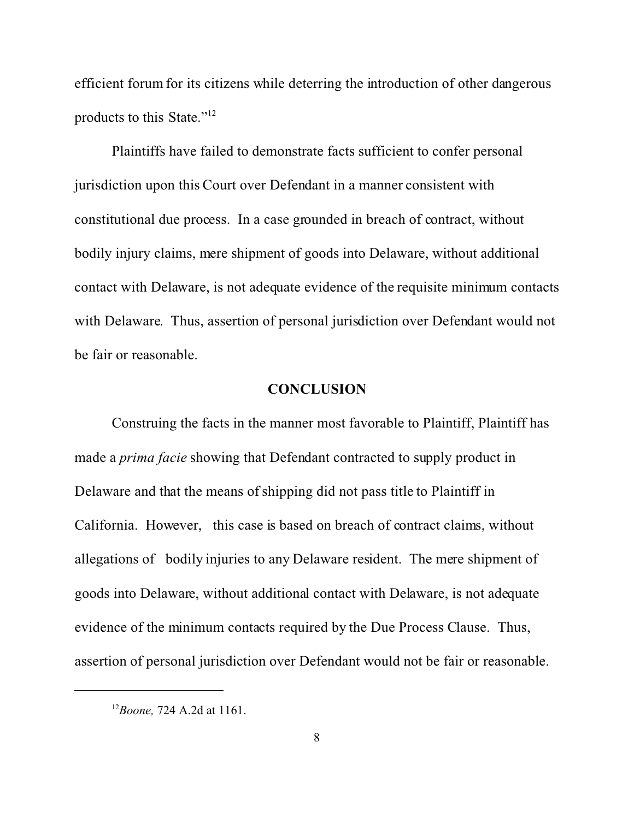efficient forum for its citizens while deterring the introduction of other dangerous products to this State."<sup>12</sup>

Plaintiffs have failed to demonstrate facts sufficient to confer personal jurisdiction upon this Court over Defendant in a manner consistent with constitutional due process. In a case grounded in breach of contract, without bodily injury claims, mere shipment of goods into Delaware, without additional contact with Delaware, is not adequate evidence of the requisite minimum contacts with Delaware. Thus, assertion of personal jurisdiction over Defendant would not be fair or reasonable.

#### **CONCLUSION**

Construing the facts in the manner most favorable to Plaintiff, Plaintiff has made a *prima facie* showing that Defendant contracted to supply product in Delaware and that the means of shipping did not pass title to Plaintiff in California. However, this case is based on breach of contract claims, without allegations of bodily injuries to any Delaware resident. The mere shipment of goods into Delaware, without additional contact with Delaware, is not adequate evidence of the minimum contacts required by the Due Process Clause. Thus, assertion of personal jurisdiction over Defendant would not be fair or reasonable.

<sup>12</sup>*Boone,* 724 A.2d at 1161.